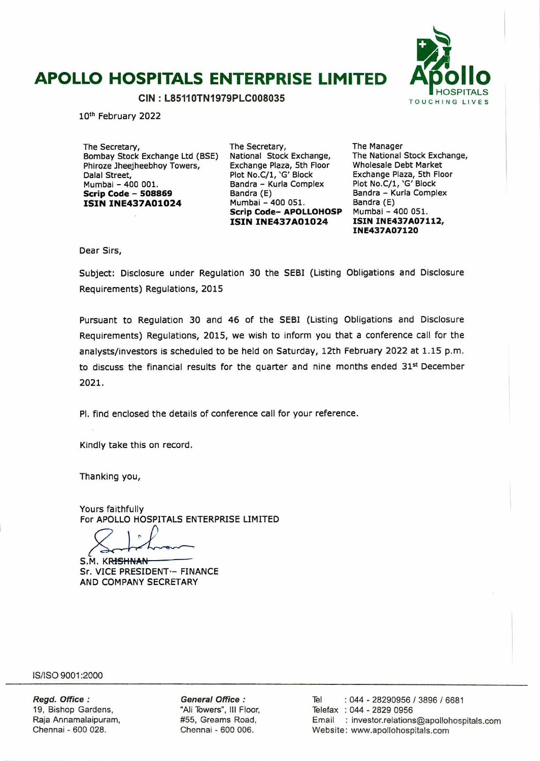# **APOLLO HOSPITALS ENTERPRISE LIMITED APOLLO HOSPITALS**



10<sup>th</sup> February 2022

The Secretary, Bombay Stock Exchange Ltd (BSE) Phiroze Jheejheebhoy Towers, Dalal Street, Mumbai - 400 001. **Scrip Code** - **<sup>508869</sup> ISIN INE437AO1O24** 

The Secretary, National Stock Exchange, Exchange Plaza, 5th Floor Plot No.C/1, 'G' Block Bandra - Kurla Complex Bandra (E) Mumbai - 400 051. **Scrip Code- APOLLOHOSP ISIN INE437AO1024** 

The Manager The National Stock Exchange, Wholesale Debt Market Exchange Plaza, 5th Floor Plot No.C/1, 'G' Block Bandra - Kurla Complex Bandra (E) Mumbai - 400 051. **ISIN INE437A07112, INE437A0712O** 

Dear Sirs,

Subject: Disclosure under Regulation 30 the SEBI (Listing Obligations and Disclosure Requirements) Regulations, 2015

Pursuant to Regulation 30 and 46 of the SEBI (Listing Obligations and Disclosure Requirements) Regulations, 2015, we wish to inform you that a conference call for the analysts/investors is scheduled to be held on Saturday, 12th February 2022 at 1.15 p.m. to discuss the financial results for the quarter and nine months ended 31<sup>st</sup> December 2021.

P1. find enclosed the details of conference call for your reference.

Kindly take this on record.

Thanking you,

Yours faithfully For APOLLO HOSPITALS ENTERPRISE LIMITED

S.M. KRISHNAN Sr. VICE PRESIDENT - FINANCE AND COMPANY SECRETARY

IS/ISO 9001 :2000

**Regd. Office: General Office:** Tel : 044 - 28290956 / 3896 / 6681<br>19, Bishop Gardens, "Ali Towers", III Floor, Telefax : 044 - 2829 0956 19, Bishop Gardens, All Towers", Ill Floor, Telefax : 044 - 2829 0956 Raja Arnamalaipuram, #55, Greams Road, Email : investor.reIations@apoIIohospjtaIs.com Website: www.apollohospitals.com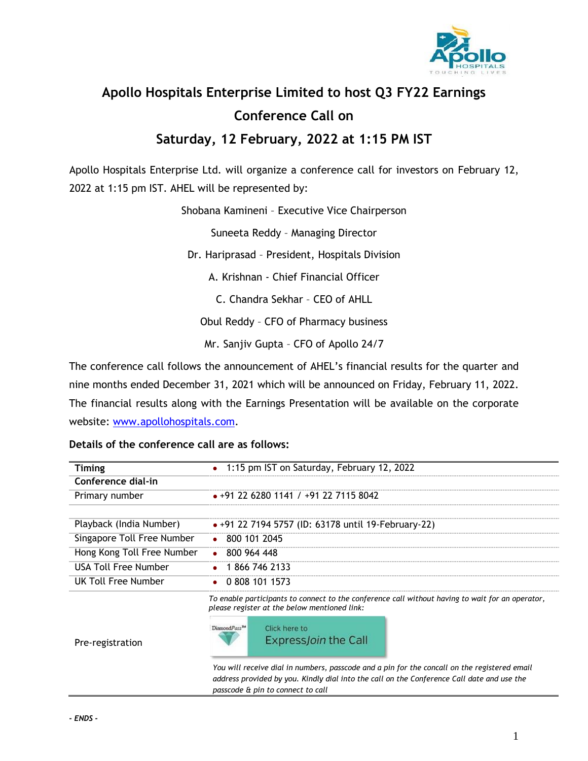

## **Apollo Hospitals Enterprise Limited to host Q3 FY22 Earnings Conference Call on**

### **Saturday, 12 February, 2022 at 1:15 PM IST**

Apollo Hospitals Enterprise Ltd. will organize a conference call for investors on February 12, 2022 at 1:15 pm IST. AHEL will be represented by:

Shobana Kamineni – Executive Vice Chairperson

Suneeta Reddy – Managing Director

Dr. Hariprasad – President, Hospitals Division

A. Krishnan - Chief Financial Officer

C. Chandra Sekhar – CEO of AHLL

Obul Reddy – CFO of Pharmacy business

Mr. Sanjiv Gupta – CFO of Apollo 24/7

The conference call follows the announcement of AHEL's financial results for the quarter and nine months ended December 31, 2021 which will be announced on Friday, February 11, 2022. The financial results along with the Earnings Presentation will be available on the corporate website: [www.apollohospitals.com.](http://www.apollohospitals.com/)

#### **Details of the conference call are as follows:**

| <b>Timing</b>              | 1:15 pm IST on Saturday, February 12, 2022<br>$\bullet$                                                                                                                                                                 |
|----------------------------|-------------------------------------------------------------------------------------------------------------------------------------------------------------------------------------------------------------------------|
| Conference dial-in         |                                                                                                                                                                                                                         |
| Primary number             | $\bullet$ +91 22 6280 1141 / +91 22 7115 8042                                                                                                                                                                           |
|                            |                                                                                                                                                                                                                         |
| Playback (India Number)    | • +91 22 7194 5757 (ID: 63178 until 19-February-22)                                                                                                                                                                     |
| Singapore Toll Free Number | $\bullet$ 800 101 2045                                                                                                                                                                                                  |
| Hong Kong Toll Free Number | $\bullet$ 800 964 448                                                                                                                                                                                                   |
| USA Toll Free Number       | 1 866 746 2133                                                                                                                                                                                                          |
| UK Toll Free Number        | 0 808 101 1573                                                                                                                                                                                                          |
| Pre-registration           | To enable participants to connect to the conference call without having to wait for an operator,<br>please register at the below mentioned link:<br>Diamond Pass <sup>TM</sup><br>Click here to<br>ExpressJoin the Call |
|                            | You will receive dial in numbers, passcode and a pin for the concall on the registered email<br>address provided by you. Kindly dial into the call on the Conference Call date and use the                              |

*passcode & pin to connect to call*